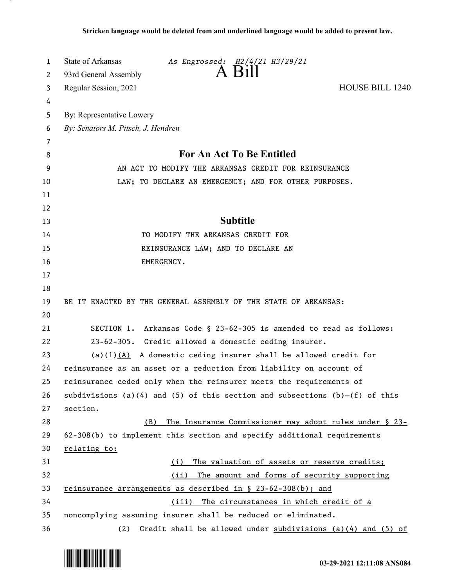| 1  | State of Arkansas<br>As Engrossed: H2/4/21 H3/29/21                         |
|----|-----------------------------------------------------------------------------|
| 2  | $A$ $B1II$<br>93rd General Assembly                                         |
| 3  | <b>HOUSE BILL 1240</b><br>Regular Session, 2021                             |
| 4  |                                                                             |
| 5  | By: Representative Lowery                                                   |
| 6  | By: Senators M. Pitsch, J. Hendren                                          |
| 7  |                                                                             |
| 8  | For An Act To Be Entitled                                                   |
| 9  | AN ACT TO MODIFY THE ARKANSAS CREDIT FOR REINSURANCE                        |
| 10 | LAW; TO DECLARE AN EMERGENCY; AND FOR OTHER PURPOSES.                       |
| 11 |                                                                             |
| 12 |                                                                             |
| 13 | <b>Subtitle</b>                                                             |
| 14 | TO MODIFY THE ARKANSAS CREDIT FOR                                           |
| 15 | REINSURANCE LAW; AND TO DECLARE AN                                          |
| 16 | EMERGENCY.                                                                  |
| 17 |                                                                             |
| 18 |                                                                             |
| 19 | BE IT ENACTED BY THE GENERAL ASSEMBLY OF THE STATE OF ARKANSAS:             |
| 20 |                                                                             |
| 21 | SECTION 1. Arkansas Code § 23-62-305 is amended to read as follows:         |
| 22 | 23-62-305. Credit allowed a domestic ceding insurer.                        |
| 23 | (a)(1) $(A)$ A domestic ceding insurer shall be allowed credit for          |
| 24 | reinsurance as an asset or a reduction from liability on account of         |
| 25 | reinsurance ceded only when the reinsurer meets the requirements of         |
| 26 | subdivisions (a)(4) and (5) of this section and subsections (b)-(f) of this |
| 27 | section.                                                                    |
| 28 | The Insurance Commissioner may adopt rules under § 23-<br>(B)               |
| 29 | 62-308(b) to implement this section and specify additional requirements     |
| 30 | relating to:                                                                |
| 31 | The valuation of assets or reserve credits;<br>(i)                          |
| 32 | The amount and forms of security supporting<br>(ii)                         |
| 33 | reinsurance arrangements as described in $\S$ 23-62-308(b); and             |
| 34 | (iii) The circumstances in which credit of a                                |
| 35 | noncomplying assuming insurer shall be reduced or eliminated.               |
| 36 | Credit shall be allowed under subdivisions (a)(4) and (5) of<br>(2)         |

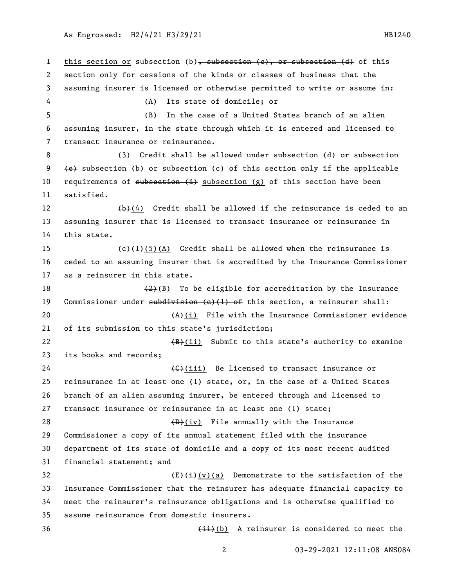1 this section or subsection (b), subsection (e), or subsection (d) of this section only for cessions of the kinds or classes of business that the assuming insurer is licensed or otherwise permitted to write or assume in: (A) Its state of domicile; or (B) In the case of a United States branch of an alien assuming insurer, in the state through which it is entered and licensed to transact insurance or reinsurance. 8 (3) Credit shall be allowed under subsection (d) or subsection (e) subsection (b) or subsection (c) of this section only if the applicable 10 requirements of  $\frac{1}{2}$  subsection (g) of this section have been satisfied.  $\left(\frac{b}{b}\right)(4)$  Credit shall be allowed if the reinsurance is ceded to an assuming insurer that is licensed to transact insurance or reinsurance in this state.  $(e)(1)(5)(A)$  Credit shall be allowed when the reinsurance is ceded to an assuming insurer that is accredited by the Insurance Commissioner as a reinsurer in this state.  $(2)(B)$  To be eligible for accreditation by the Insurance 19 Commissioner under subdivision  $(e)$  (1) of this section, a reinsurer shall:  $(A)$  (i) File with the Insurance Commissioner evidence of its submission to this state's jurisdiction;  $\left(\frac{B}{B}\right)(i)$  Submit to this state's authority to examine its books and records;  $\left\{\text{G}\right\}$  (iii) Be licensed to transact insurance or reinsurance in at least one (1) state, or, in the case of a United States branch of an alien assuming insurer, be entered through and licensed to transact insurance or reinsurance in at least one (1) state;  $\longleftrightarrow$  (iv) File annually with the Insurance Commissioner a copy of its annual statement filed with the insurance department of its state of domicile and a copy of its most recent audited financial statement; and  $\frac{E}{E}(\bar{t})$ (v)(a) Demonstrate to the satisfaction of the Insurance Commissioner that the reinsurer has adequate financial capacity to meet the reinsurer's reinsurance obligations and is otherwise qualified to assume reinsurance from domestic insurers. 36 (ii)(b) A reinsurer is considered to meet the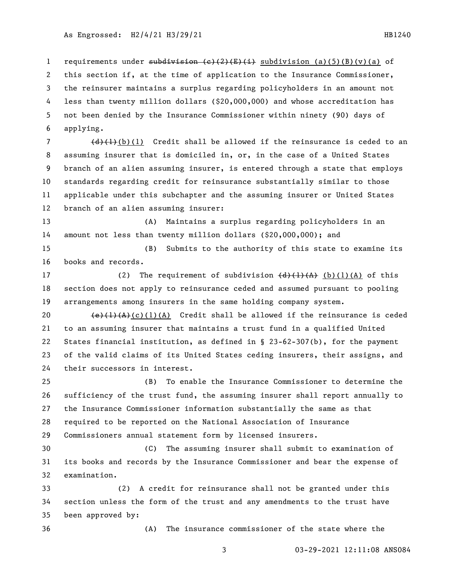1 requirements under subdivision  $(e)$   $(2)$   $(E)$   $(i)$  subdivision  $(a)$   $(5)$   $(B)$   $(v)$   $(a)$  of this section if, at the time of application to the Insurance Commissioner, the reinsurer maintains a surplus regarding policyholders in an amount not less than twenty million dollars (\$20,000,000) and whose accreditation has not been denied by the Insurance Commissioner within ninety (90) days of applying.

 $(d)$   $(l)$  (b)(1) Credit shall be allowed if the reinsurance is ceded to an assuming insurer that is domiciled in, or, in the case of a United States branch of an alien assuming insurer, is entered through a state that employs standards regarding credit for reinsurance substantially similar to those applicable under this subchapter and the assuming insurer or United States branch of an alien assuming insurer:

 (A) Maintains a surplus regarding policyholders in an amount not less than twenty million dollars (\$20,000,000); and

 (B) Submits to the authority of this state to examine its books and records.

17 (2) The requirement of subdivision  $\left(\frac{d}{d}\right)\left(\frac{1}{A}\right)$  (b)(1)(A) of this section does not apply to reinsurance ceded and assumed pursuant to pooling arrangements among insurers in the same holding company system.

 $\left\{\frac{e}{t}\right\}$  (c)(1)(A) Credit shall be allowed if the reinsurance is ceded to an assuming insurer that maintains a trust fund in a qualified United States financial institution, as defined in § 23-62-307(b), for the payment of the valid claims of its United States ceding insurers, their assigns, and their successors in interest.

 (B) To enable the Insurance Commissioner to determine the sufficiency of the trust fund, the assuming insurer shall report annually to the Insurance Commissioner information substantially the same as that required to be reported on the National Association of Insurance Commissioners annual statement form by licensed insurers.

 (C) The assuming insurer shall submit to examination of its books and records by the Insurance Commissioner and bear the expense of examination.

 (2) A credit for reinsurance shall not be granted under this section unless the form of the trust and any amendments to the trust have been approved by:

(A) The insurance commissioner of the state where the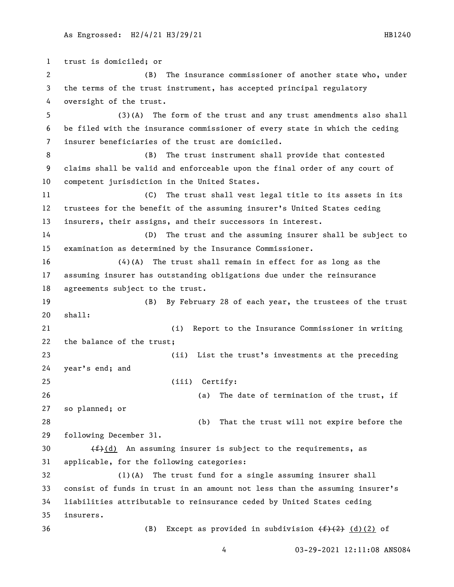trust is domiciled; or (B) The insurance commissioner of another state who, under the terms of the trust instrument, has accepted principal regulatory oversight of the trust. (3)(A) The form of the trust and any trust amendments also shall be filed with the insurance commissioner of every state in which the ceding insurer beneficiaries of the trust are domiciled. (B) The trust instrument shall provide that contested claims shall be valid and enforceable upon the final order of any court of competent jurisdiction in the United States. (C) The trust shall vest legal title to its assets in its trustees for the benefit of the assuming insurer's United States ceding insurers, their assigns, and their successors in interest. (D) The trust and the assuming insurer shall be subject to examination as determined by the Insurance Commissioner. (4)(A) The trust shall remain in effect for as long as the assuming insurer has outstanding obligations due under the reinsurance agreements subject to the trust. (B) By February 28 of each year, the trustees of the trust shall: (i) Report to the Insurance Commissioner in writing the balance of the trust; (ii) List the trust's investments at the preceding year's end; and (iii) Certify: (a) The date of termination of the trust, if so planned; or (b) That the trust will not expire before the following December 31.  $(f)(d)$  An assuming insurer is subject to the requirements, as applicable, for the following categories: (1)(A) The trust fund for a single assuming insurer shall consist of funds in trust in an amount not less than the assuming insurer's liabilities attributable to reinsurance ceded by United States ceding insurers. 36 (B) Except as provided in subdivision  $(f<sup>2</sup>)(2)$  of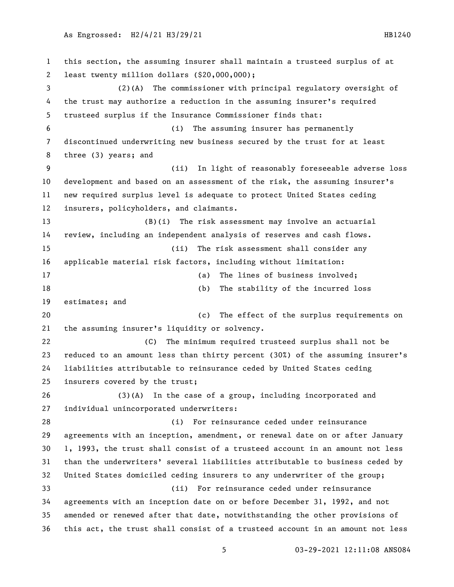this section, the assuming insurer shall maintain a trusteed surplus of at least twenty million dollars (\$20,000,000); (2)(A) The commissioner with principal regulatory oversight of the trust may authorize a reduction in the assuming insurer's required trusteed surplus if the Insurance Commissioner finds that: (i) The assuming insurer has permanently discontinued underwriting new business secured by the trust for at least three (3) years; and (ii) In light of reasonably foreseeable adverse loss development and based on an assessment of the risk, the assuming insurer's new required surplus level is adequate to protect United States ceding insurers, policyholders, and claimants. (B)(i) The risk assessment may involve an actuarial review, including an independent analysis of reserves and cash flows. (ii) The risk assessment shall consider any applicable material risk factors, including without limitation: 17 (a) The lines of business involved; (b) The stability of the incurred loss estimates; and (c) The effect of the surplus requirements on the assuming insurer's liquidity or solvency. (C) The minimum required trusteed surplus shall not be reduced to an amount less than thirty percent (30%) of the assuming insurer's liabilities attributable to reinsurance ceded by United States ceding insurers covered by the trust; (3)(A) In the case of a group, including incorporated and individual unincorporated underwriters: (i) For reinsurance ceded under reinsurance agreements with an inception, amendment, or renewal date on or after January 1, 1993, the trust shall consist of a trusteed account in an amount not less than the underwriters' several liabilities attributable to business ceded by United States domiciled ceding insurers to any underwriter of the group; (ii) For reinsurance ceded under reinsurance agreements with an inception date on or before December 31, 1992, and not amended or renewed after that date, notwithstanding the other provisions of this act, the trust shall consist of a trusteed account in an amount not less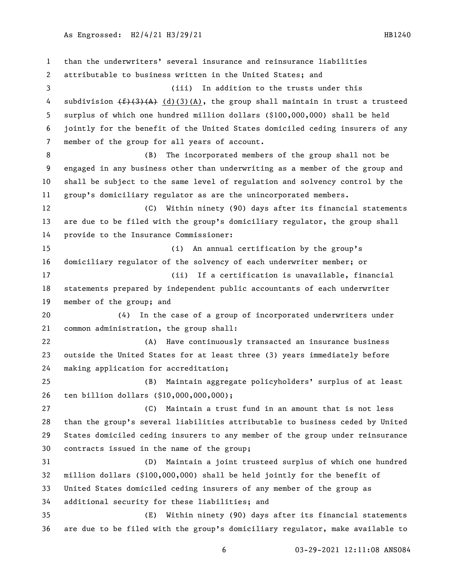than the underwriters' several insurance and reinsurance liabilities attributable to business written in the United States; and (iii) In addition to the trusts under this 4 subdivision  $(f)$ (3)(A) (d)(3)(A), the group shall maintain in trust a trusteed surplus of which one hundred million dollars (\$100,000,000) shall be held jointly for the benefit of the United States domiciled ceding insurers of any member of the group for all years of account. (B) The incorporated members of the group shall not be engaged in any business other than underwriting as a member of the group and shall be subject to the same level of regulation and solvency control by the group's domiciliary regulator as are the unincorporated members. (C) Within ninety (90) days after its financial statements are due to be filed with the group's domiciliary regulator, the group shall provide to the Insurance Commissioner: (i) An annual certification by the group's domiciliary regulator of the solvency of each underwriter member; or (ii) If a certification is unavailable, financial statements prepared by independent public accountants of each underwriter member of the group; and (4) In the case of a group of incorporated underwriters under common administration, the group shall: (A) Have continuously transacted an insurance business outside the United States for at least three (3) years immediately before making application for accreditation; (B) Maintain aggregate policyholders' surplus of at least ten billion dollars (\$10,000,000,000); (C) Maintain a trust fund in an amount that is not less than the group's several liabilities attributable to business ceded by United States domiciled ceding insurers to any member of the group under reinsurance contracts issued in the name of the group; (D) Maintain a joint trusteed surplus of which one hundred million dollars (\$100,000,000) shall be held jointly for the benefit of United States domiciled ceding insurers of any member of the group as additional security for these liabilities; and (E) Within ninety (90) days after its financial statements are due to be filed with the group's domiciliary regulator, make available to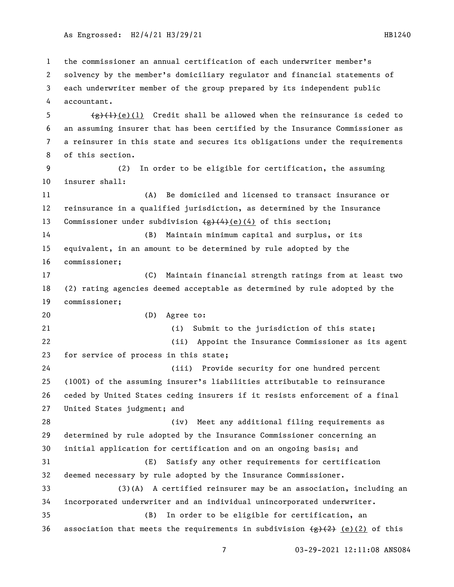the commissioner an annual certification of each underwriter member's solvency by the member's domiciliary regulator and financial statements of each underwriter member of the group prepared by its independent public accountant.

 $\left(\frac{e}{f}\right)^{1}$  (e)(1) Credit shall be allowed when the reinsurance is ceded to an assuming insurer that has been certified by the Insurance Commissioner as a reinsurer in this state and secures its obligations under the requirements of this section.

 (2) In order to be eligible for certification, the assuming insurer shall:

 (A) Be domiciled and licensed to transact insurance or reinsurance in a qualified jurisdiction, as determined by the Insurance 13 Commissioner under subdivision  $\left(\frac{e}{4}\right)\left(\frac{4}{e}\right)$  (4) of this section;

 (B) Maintain minimum capital and surplus, or its equivalent, in an amount to be determined by rule adopted by the commissioner;

 (C) Maintain financial strength ratings from at least two (2) rating agencies deemed acceptable as determined by rule adopted by the commissioner;

(D) Agree to:

 (i) Submit to the jurisdiction of this state; (ii) Appoint the Insurance Commissioner as its agent for service of process in this state; (iii) Provide security for one hundred percent

 (100%) of the assuming insurer's liabilities attributable to reinsurance ceded by United States ceding insurers if it resists enforcement of a final United States judgment; and

 (iv) Meet any additional filing requirements as determined by rule adopted by the Insurance Commissioner concerning an initial application for certification and on an ongoing basis; and (E) Satisfy any other requirements for certification

 deemed necessary by rule adopted by the Insurance Commissioner. (3)(A) A certified reinsurer may be an association, including an incorporated underwriter and an individual unincorporated underwriter.

 (B) In order to be eligible for certification, an 36 association that meets the requirements in subdivision  $\left(\frac{1}{2}, \frac{1}{2}\right)$  (e)(2) of this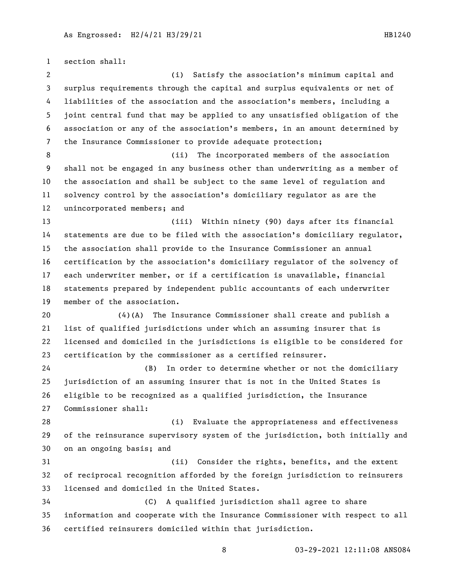section shall: (i) Satisfy the association's minimum capital and surplus requirements through the capital and surplus equivalents or net of liabilities of the association and the association's members, including a joint central fund that may be applied to any unsatisfied obligation of the association or any of the association's members, in an amount determined by the Insurance Commissioner to provide adequate protection; (ii) The incorporated members of the association shall not be engaged in any business other than underwriting as a member of the association and shall be subject to the same level of regulation and solvency control by the association's domiciliary regulator as are the unincorporated members; and (iii) Within ninety (90) days after its financial statements are due to be filed with the association's domiciliary regulator, the association shall provide to the Insurance Commissioner an annual certification by the association's domiciliary regulator of the solvency of each underwriter member, or if a certification is unavailable, financial statements prepared by independent public accountants of each underwriter member of the association. (4)(A) The Insurance Commissioner shall create and publish a list of qualified jurisdictions under which an assuming insurer that is licensed and domiciled in the jurisdictions is eligible to be considered for certification by the commissioner as a certified reinsurer. (B) In order to determine whether or not the domiciliary jurisdiction of an assuming insurer that is not in the United States is eligible to be recognized as a qualified jurisdiction, the Insurance Commissioner shall: (i) Evaluate the appropriateness and effectiveness of the reinsurance supervisory system of the jurisdiction, both initially and on an ongoing basis; and (ii) Consider the rights, benefits, and the extent of reciprocal recognition afforded by the foreign jurisdiction to reinsurers licensed and domiciled in the United States. (C) A qualified jurisdiction shall agree to share information and cooperate with the Insurance Commissioner with respect to all certified reinsurers domiciled within that jurisdiction.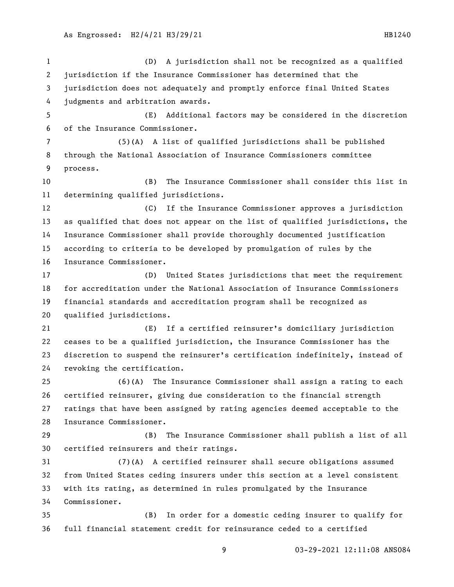(D) A jurisdiction shall not be recognized as a qualified jurisdiction if the Insurance Commissioner has determined that the jurisdiction does not adequately and promptly enforce final United States judgments and arbitration awards. (E) Additional factors may be considered in the discretion of the Insurance Commissioner. (5)(A) A list of qualified jurisdictions shall be published through the National Association of Insurance Commissioners committee process. (B) The Insurance Commissioner shall consider this list in determining qualified jurisdictions. (C) If the Insurance Commissioner approves a jurisdiction as qualified that does not appear on the list of qualified jurisdictions, the Insurance Commissioner shall provide thoroughly documented justification according to criteria to be developed by promulgation of rules by the Insurance Commissioner. (D) United States jurisdictions that meet the requirement for accreditation under the National Association of Insurance Commissioners financial standards and accreditation program shall be recognized as qualified jurisdictions. (E) If a certified reinsurer's domiciliary jurisdiction ceases to be a qualified jurisdiction, the Insurance Commissioner has the discretion to suspend the reinsurer's certification indefinitely, instead of revoking the certification. (6)(A) The Insurance Commissioner shall assign a rating to each certified reinsurer, giving due consideration to the financial strength ratings that have been assigned by rating agencies deemed acceptable to the Insurance Commissioner. (B) The Insurance Commissioner shall publish a list of all certified reinsurers and their ratings. (7)(A) A certified reinsurer shall secure obligations assumed from United States ceding insurers under this section at a level consistent with its rating, as determined in rules promulgated by the Insurance Commissioner. (B) In order for a domestic ceding insurer to qualify for full financial statement credit for reinsurance ceded to a certified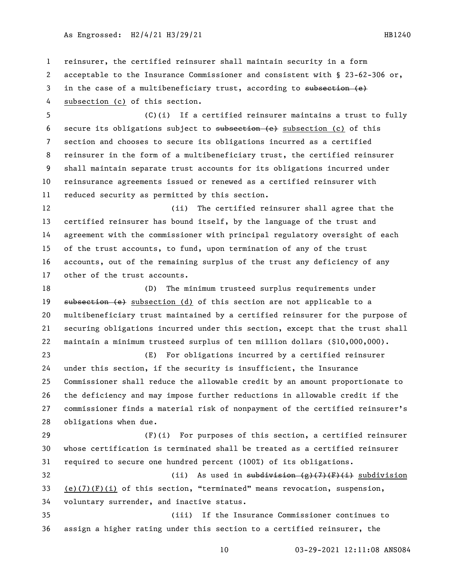reinsurer, the certified reinsurer shall maintain security in a form acceptable to the Insurance Commissioner and consistent with § 23-62-306 or, 3 in the case of a multibeneficiary trust, according to subsection (e) subsection (c) of this section.

 (C)(i) If a certified reinsurer maintains a trust to fully secure its obligations subject to subsection (e) subsection (c) of this section and chooses to secure its obligations incurred as a certified reinsurer in the form of a multibeneficiary trust, the certified reinsurer shall maintain separate trust accounts for its obligations incurred under reinsurance agreements issued or renewed as a certified reinsurer with reduced security as permitted by this section.

 (ii) The certified reinsurer shall agree that the certified reinsurer has bound itself, by the language of the trust and agreement with the commissioner with principal regulatory oversight of each of the trust accounts, to fund, upon termination of any of the trust accounts, out of the remaining surplus of the trust any deficiency of any other of the trust accounts.

 (D) The minimum trusteed surplus requirements under 19 subsection (e) subsection (d) of this section are not applicable to a multibeneficiary trust maintained by a certified reinsurer for the purpose of securing obligations incurred under this section, except that the trust shall maintain a minimum trusteed surplus of ten million dollars (\$10,000,000).

 (E) For obligations incurred by a certified reinsurer under this section, if the security is insufficient, the Insurance Commissioner shall reduce the allowable credit by an amount proportionate to the deficiency and may impose further reductions in allowable credit if the commissioner finds a material risk of nonpayment of the certified reinsurer's obligations when due.

 (F)(i) For purposes of this section, a certified reinsurer whose certification is terminated shall be treated as a certified reinsurer required to secure one hundred percent (100%) of its obligations. 32 (ii) As used in  $\frac{1}{2}$  subdivision (g)(7)(F)(i) subdivision

33 (e)(7)(F)(i) of this section, "terminated" means revocation, suspension, voluntary surrender, and inactive status.

 (iii) If the Insurance Commissioner continues to assign a higher rating under this section to a certified reinsurer, the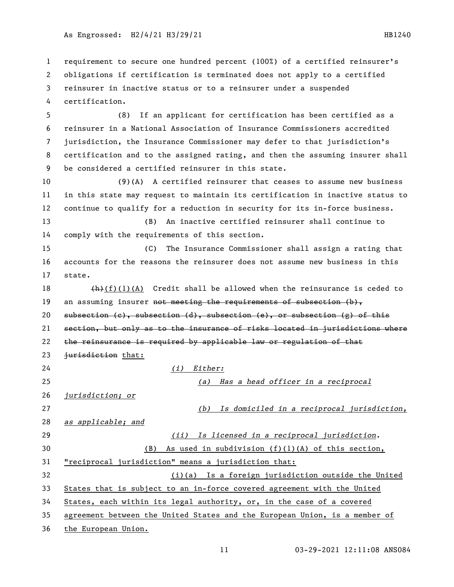requirement to secure one hundred percent (100%) of a certified reinsurer's obligations if certification is terminated does not apply to a certified reinsurer in inactive status or to a reinsurer under a suspended certification. (8) If an applicant for certification has been certified as a reinsurer in a National Association of Insurance Commissioners accredited jurisdiction, the Insurance Commissioner may defer to that jurisdiction's certification and to the assigned rating, and then the assuming insurer shall be considered a certified reinsurer in this state. (9)(A) A certified reinsurer that ceases to assume new business in this state may request to maintain its certification in inactive status to continue to qualify for a reduction in security for its in-force business. (B) An inactive certified reinsurer shall continue to comply with the requirements of this section. (C) The Insurance Commissioner shall assign a rating that accounts for the reasons the reinsurer does not assume new business in this state.  $(h)(f)(1)(A)$  Credit shall be allowed when the reinsurance is ceded to 19 an assuming insurer <del>not meeting the requirements of subsection  $(b)$ ,</del> 20 subsection (c), subsection (d), subsection (e), or subsection (g) of this section, but only as to the insurance of risks located in jurisdictions where the reinsurance is required by applicable law or regulation of that 23 jurisdiction that: *(i) Either: (a) Has a head officer in a reciprocal jurisdiction; or (b) Is domiciled in a reciprocal jurisdiction, as applicable; and (ii) Is licensed in a reciprocal jurisdiction.* (B) As used in subdivision (f)(1)(A) of this section, "reciprocal jurisdiction" means a jurisdiction that: (i)(a) Is a foreign jurisdiction outside the United States that is subject to an in-force covered agreement with the United States, each within its legal authority, or, in the case of a covered agreement between the United States and the European Union, is a member of the European Union.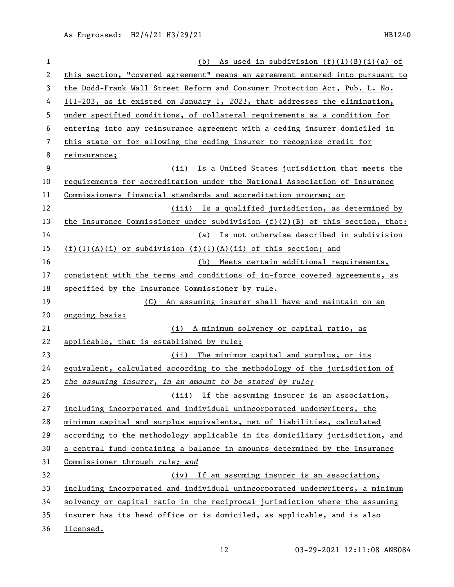| 1  | (b) As used in subdivision $(f)(1)(B)(i)(a)$ of                                 |
|----|---------------------------------------------------------------------------------|
| 2  | this section, "covered agreement" means an agreement entered into pursuant to   |
| 3  | the Dodd-Frank Wall Street Reform and Consumer Protection Act, Pub. L. No.      |
| 4  | 111-203, as it existed on January 1, 2021, that addresses the elimination,      |
| 5  | under specified conditions, of collateral requirements as a condition for       |
| 6  | entering into any reinsurance agreement with a ceding insurer domiciled in      |
| 7  | this state or for allowing the ceding insurer to recognize credit for           |
| 8  | reinsurance;                                                                    |
| 9  | Is a United States jurisdiction that meets the<br>(ii)                          |
| 10 | requirements for accreditation under the National Association of Insurance      |
| 11 | Commissioners financial standards and accreditation program; or                 |
| 12 | (iii) Is a qualified jurisdiction, as determined by                             |
| 13 | the Insurance Commissioner under subdivision $(f)(2)(B)$ of this section, that: |
| 14 | (a) Is not otherwise described in subdivision                                   |
| 15 | $(f)(1)(A)(i)$ or subdivision $(f)(1)(A)(ii)$ of this section; and              |
| 16 | (b) Meets certain additional requirements,                                      |
| 17 | consistent with the terms and conditions of in-force covered agreements, as     |
| 18 | specified by the Insurance Commissioner by rule.                                |
| 19 | An assuming insurer shall have and maintain on an<br>(C)                        |
| 20 | ongoing basis:                                                                  |
| 21 | (i) A minimum solvency or capital ratio, as                                     |
| 22 | applicable, that is established by rule;                                        |
| 23 | (ii) The minimum capital and surplus, or its                                    |
| 24 | equivalent, calculated according to the methodology of the jurisdiction of      |
| 25 | the assuming insurer, in an amount to be stated by rule;                        |
| 26 | (iii) If the assuming insurer is an association,                                |
| 27 | including incorporated and individual unincorporated underwriters, the          |
| 28 | minimum capital and surplus equivalents, net of liabilities, calculated         |
| 29 | according to the methodology applicable in its domiciliary jurisdiction, and    |
| 30 | a central fund containing a balance in amounts determined by the Insurance      |
| 31 | Commissioner through rule; and                                                  |
| 32 | (iv) If an assuming insurer is an association,                                  |
| 33 | including incorporated and individual unincorporated underwriters, a minimum    |
| 34 | solvency or capital ratio in the reciprocal jurisdiction where the assuming     |
| 35 | insurer has its head office or is domiciled, as applicable, and is also         |
| 36 | licensed.                                                                       |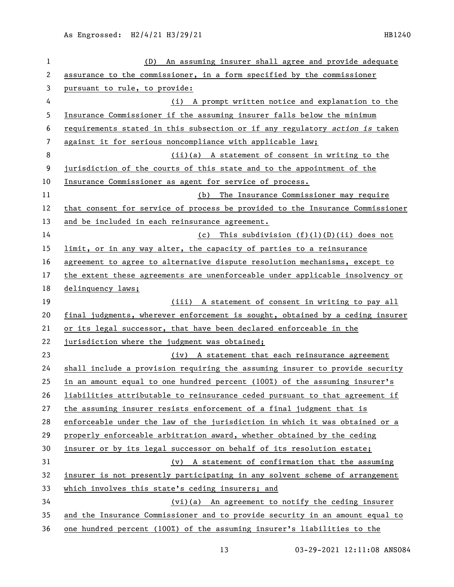| 1  | An assuming insurer shall agree and provide adequate<br>(D)                   |
|----|-------------------------------------------------------------------------------|
| 2  | assurance to the commissioner, in a form specified by the commissioner        |
| 3  | pursuant to rule, to provide:                                                 |
| 4  | (i) A prompt written notice and explanation to the                            |
| 5  | Insurance Commissioner if the assuming insurer falls below the minimum        |
| 6  | requirements stated in this subsection or if any regulatory action is taken   |
| 7  | against it for serious noncompliance with applicable law;                     |
| 8  | $(ii)(a)$ A statement of consent in writing to the                            |
| 9  | jurisdiction of the courts of this state and to the appointment of the        |
| 10 | Insurance Commissioner as agent for service of process.                       |
| 11 | (b)<br>The Insurance Commissioner may require                                 |
| 12 | that consent for service of process be provided to the Insurance Commissioner |
| 13 | and be included in each reinsurance agreement.                                |
| 14 | (c) This subdivision (f)(1)(D)(ii) does not                                   |
| 15 | limit, or in any way alter, the capacity of parties to a reinsurance          |
| 16 | agreement to agree to alternative dispute resolution mechanisms, except to    |
| 17 | the extent these agreements are unenforceable under applicable insolvency or  |
| 18 | delinquency laws;                                                             |
| 19 | (iii) A statement of consent in writing to pay all                            |
| 20 | final judgments, wherever enforcement is sought, obtained by a ceding insurer |
| 21 | or its legal successor, that have been declared enforceable in the            |
| 22 | jurisdiction where the judgment was obtained;                                 |
| 23 | (iv) A statement that each reinsurance agreement                              |
| 24 | shall include a provision requiring the assuming insurer to provide security  |
| 25 | in an amount equal to one hundred percent (100%) of the assuming insurer's    |
| 26 | liabilities attributable to reinsurance ceded pursuant to that agreement if   |
| 27 | the assuming insurer resists enforcement of a final judgment that is          |
| 28 | enforceable under the law of the jurisdiction in which it was obtained or a   |
| 29 | properly enforceable arbitration award, whether obtained by the ceding        |
| 30 | insurer or by its legal successor on behalf of its resolution estate;         |
| 31 | (v) A statement of confirmation that the assuming                             |
| 32 | insurer is not presently participating in any solvent scheme of arrangement   |
| 33 | which involves this state's ceding insurers; and                              |
| 34 | (vi)(a) An agreement to notify the ceding insurer                             |
| 35 |                                                                               |
|    | and the Insurance Commissioner and to provide security in an amount equal to  |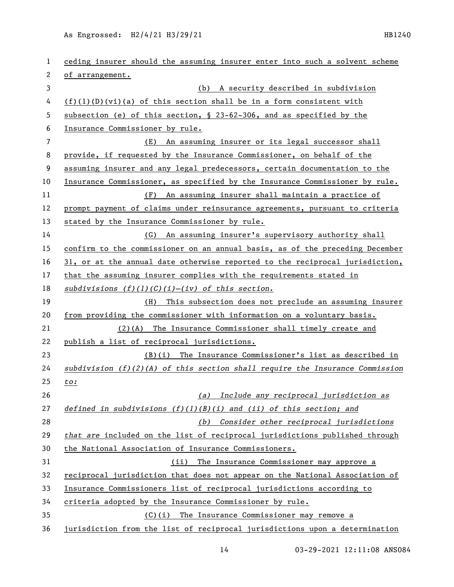As Engrossed: H2/4/21 H3/29/21 120 120 120 120 120 121 1240

| 1  | ceding insurer should the assuming insurer enter into such a solvent scheme    |
|----|--------------------------------------------------------------------------------|
| 2  | of arrangement.                                                                |
| 3  | (b) A security described in subdivision                                        |
| 4  | $(f)(1)(D)(vi)(a)$ of this section shall be in a form consistent with          |
| 5  | subsection (e) of this section, $\S$ 23-62-306, and as specified by the        |
| 6  | Insurance Commissioner by rule.                                                |
| 7  | (E) An assuming insurer or its legal successor shall                           |
| 8  | provide, if requested by the Insurance Commissioner, on behalf of the          |
| 9  | assuming insurer and any legal predecessors, certain documentation to the      |
| 10 | Insurance Commissioner, as specified by the Insurance Commissioner by rule.    |
| 11 | An assuming insurer shall maintain a practice of<br>(F)                        |
| 12 | prompt payment of claims under reinsurance agreements, pursuant to criteria    |
| 13 | stated by the Insurance Commissioner by rule.                                  |
| 14 | (G) An assuming insurer's supervisory authority shall                          |
| 15 | confirm to the commissioner on an annual basis, as of the preceding December   |
| 16 | 31, or at the annual date otherwise reported to the reciprocal jurisdiction,   |
| 17 | that the assuming insurer complies with the requirements stated in             |
| 18 | subdivisions $(f)(1)(C)(i)-(iv)$ of this section.                              |
| 19 | This subsection does not preclude an assuming insurer<br>(H)                   |
| 20 | from providing the commissioner with information on a voluntary basis.         |
| 21 | $(2)(A)$ The Insurance Commissioner shall timely create and                    |
| 22 | publish a list of reciprocal jurisdictions.                                    |
| 23 | (B)(i) The Insurance Commissioner's list as described in                       |
| 24 | subdivision $(f)(2)(A)$ of this section shall require the Insurance Commission |
| 25 | to:                                                                            |
| 26 | Include any reciprocal jurisdiction as<br>(a)                                  |
| 27 | defined in subdivisions $(f)(1)(B)(i)$ and $(ii)$ of this section; and         |
| 28 | Consider other reciprocal jurisdictions<br>(b)                                 |
| 29 | that are included on the list of reciprocal jurisdictions published through    |
| 30 | the National Association of Insurance Commissioners.                           |
| 31 | The Insurance Commissioner may approve a<br>(ii)                               |
| 32 | reciprocal jurisdiction that does not appear on the National Association of    |
| 33 | Insurance Commissioners list of reciprocal jurisdictions according to          |
| 34 | criteria adopted by the Insurance Commissioner by rule.                        |
| 35 | $(C)(i)$ The Insurance Commissioner may remove a                               |
| 36 | jurisdiction from the list of reciprocal jurisdictions upon a determination    |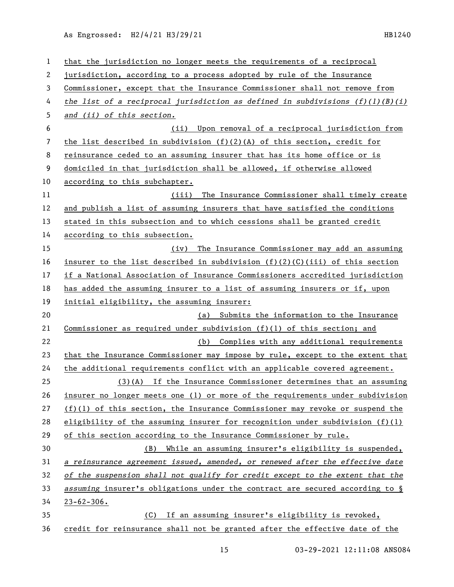As Engrossed: H2/4/21 H3/29/21 HB1240

| 1  | that the jurisdiction no longer meets the requirements of a reciprocal                     |
|----|--------------------------------------------------------------------------------------------|
| 2  | jurisdiction, according to a process adopted by rule of the Insurance                      |
| 3  | Commissioner, except that the Insurance Commissioner shall not remove from                 |
| 4  | the list of a reciprocal jurisdiction as defined in subdivisions $(f)(l)(B)(i)$            |
| 5  | and (ii) of this section.                                                                  |
| 6  | Upon removal of a reciprocal jurisdiction from<br>(ii)                                     |
| 7  | the list described in subdivision $(f)(2)(A)$ of this section, credit for                  |
| 8  | reinsurance ceded to an assuming insurer that has its home office or is                    |
| 9  | domiciled in that jurisdiction shall be allowed, if otherwise allowed                      |
| 10 | according to this subchapter.                                                              |
| 11 | The Insurance Commissioner shall timely create<br>(iii)                                    |
| 12 | and publish a list of assuming insurers that have satisfied the conditions                 |
| 13 | stated in this subsection and to which cessions shall be granted credit                    |
| 14 | according to this subsection.                                                              |
| 15 | The Insurance Commissioner may add an assuming<br>(iv)                                     |
| 16 | insurer to the list described in subdivision $(f)(2)(C)(iii)$ of this section              |
| 17 | if a National Association of Insurance Commissioners accredited jurisdiction               |
| 18 | has added the assuming insurer to a list of assuming insurers or if, upon                  |
| 19 | initial eligibility, the assuming insurer:                                                 |
| 20 | Submits the information to the Insurance<br>(a)                                            |
| 21 | <u>Commissioner as required under subdivision <math>(f)(1)</math> of this section; and</u> |
| 22 | (b) Complies with any additional requirements                                              |
| 23 | that the Insurance Commissioner may impose by rule, except to the extent that              |
| 24 | the additional requirements conflict with an applicable covered agreement.                 |
| 25 | (3)(A) If the Insurance Commissioner determines that an assuming                           |
| 26 | insurer no longer meets one (1) or more of the requirements under subdivision              |
| 27 | $(f)(1)$ of this section, the Insurance Commissioner may revoke or suspend the             |
| 28 | eligibility of the assuming insurer for recognition under subdivision $(f)(1)$             |
| 29 | of this section according to the Insurance Commissioner by rule.                           |
| 30 | While an assuming insurer's eligibility is suspended,<br>(B)                               |
| 31 | a reinsurance agreement issued, amended, or renewed after the effective date               |
| 32 | of the suspension shall not qualify for credit except to the extent that the               |
| 33 | assuming insurer's obligations under the contract are secured according to §               |
| 34 | $23 - 62 - 306$ .                                                                          |
| 35 | If an assuming insurer's eligibility is revoked,<br>(C)                                    |
| 36 | credit for reinsurance shall not be granted after the effective date of the                |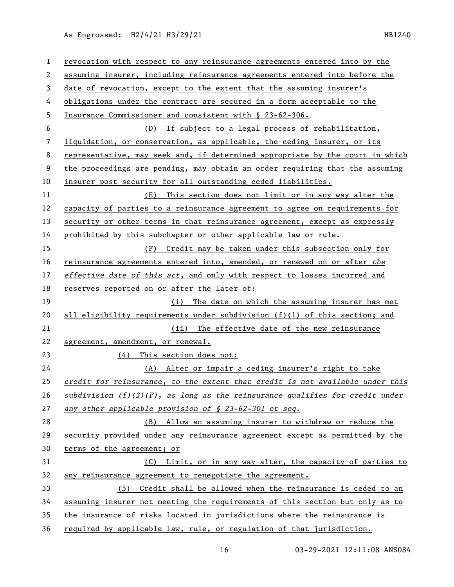As Engrossed: H2/4/21 H3/29/21 HB1240

| 1  | revocation with respect to any reinsurance agreements entered into by the       |
|----|---------------------------------------------------------------------------------|
| 2  | assuming insurer, including reinsurance agreements entered into before the      |
| 3  | date of revocation, except to the extent that the assuming insurer's            |
| 4  | obligations under the contract are secured in a form acceptable to the          |
| 5  | Insurance Commissioner and consistent with § 23-62-306.                         |
| 6  | If subject to a legal process of rehabilitation,<br>(D)                         |
| 7  | liquidation, or conservation, as applicable, the ceding insurer, or its         |
| 8  | representative, may seek and, if determined appropriate by the court in which   |
| 9  | the proceedings are pending, may obtain an order requiring that the assuming    |
| 10 | insurer post security for all outstanding ceded liabilities.                    |
| 11 | This section does not limit or in any way alter the<br>(E)                      |
| 12 | capacity of parties to a reinsurance agreement to agree on requirements for     |
| 13 | security or other terms in that reinsurance agreement, except as expressly      |
| 14 | prohibited by this subchapter or other applicable law or rule.                  |
| 15 | Credit may be taken under this subsection only for<br>(F)                       |
| 16 | reinsurance agreements entered into, amended, or renewed on or after the        |
| 17 | effective date of this act, and only with respect to losses incurred and        |
| 18 | reserves reported on or after the later of:                                     |
| 19 | (i) The date on which the assuming insurer has met                              |
| 20 | all eligibility requirements under subdivision $(f)(1)$ of this section; and    |
| 21 | (ii) The effective date of the new reinsurance                                  |
| 22 | agreement, amendment, or renewal.                                               |
| 23 | This section does not:<br>(4)                                                   |
| 24 | (A) Alter or impair a ceding insurer's right to take                            |
| 25 | credit for reinsurance, to the extent that credit is not available under this   |
| 26 | $subdivision (f)(3)(F)$ , as long as the reinsurance qualifies for credit under |
| 27 | any other applicable provision of § 23-62-301 et seq.                           |
| 28 | Allow an assuming insurer to withdraw or reduce the<br>(B)                      |
| 29 | security provided under any reinsurance agreement except as permitted by the    |
| 30 | terms of the agreement; or                                                      |
| 31 | (C) Limit, or in any way alter, the capacity of parties to                      |
| 32 | any reinsurance agreement to renegotiate the agreement.                         |
| 33 | (5) Credit shall be allowed when the reinsurance is ceded to an                 |
| 34 | assuming insurer not meeting the requirements of this section but only as to    |
| 35 | the insurance of risks located in jurisdictions where the reinsurance is        |
| 36 | required by applicable law, rule, or regulation of that jurisdiction.           |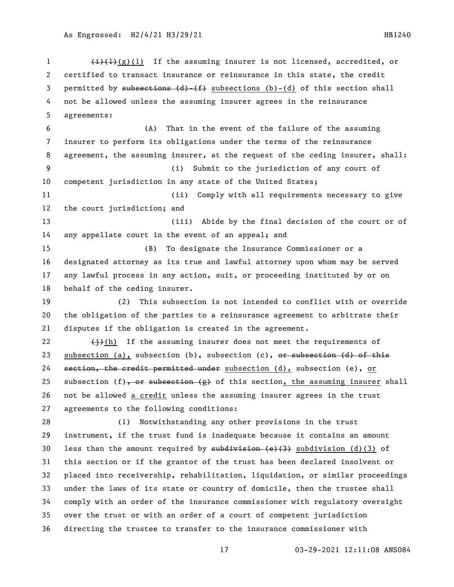$\left(\frac{1}{1}\right)\left(\frac{1}{2}\right)(1)$  If the assuming insurer is not licensed, accredited, or certified to transact insurance or reinsurance in this state, the credit 3 permitted by subsections  $(d)$   $(f)$  subsections (b)-(d) of this section shall not be allowed unless the assuming insurer agrees in the reinsurance agreements: (A) That in the event of the failure of the assuming insurer to perform its obligations under the terms of the reinsurance agreement, the assuming insurer, at the request of the ceding insurer, shall: (i) Submit to the jurisdiction of any court of competent jurisdiction in any state of the United States; (ii) Comply with all requirements necessary to give the court jurisdiction; and (iii) Abide by the final decision of the court or of any appellate court in the event of an appeal; and (B) To designate the Insurance Commissioner or a designated attorney as its true and lawful attorney upon whom may be served any lawful process in any action, suit, or proceeding instituted by or on behalf of the ceding insurer. (2) This subsection is not intended to conflict with or override the obligation of the parties to a reinsurance agreement to arbitrate their disputes if the obligation is created in the agreement.  $\leftarrow$   $\leftarrow$   $\leftarrow$   $\leftarrow$   $\leftarrow$   $\leftarrow$   $\leftarrow$   $\leftarrow$   $\leftarrow$   $\leftarrow$   $\leftarrow$   $\leftarrow$   $\leftarrow$   $\leftarrow$   $\leftarrow$   $\leftarrow$   $\leftarrow$   $\leftarrow$   $\leftarrow$   $\leftarrow$   $\leftarrow$   $\leftarrow$   $\leftarrow$   $\leftarrow$   $\leftarrow$   $\leftarrow$   $\leftarrow$   $\leftarrow$   $\leftarrow$   $\leftarrow$   $\leftarrow$   $\leftarrow$   $\leftarrow$   $\leftarrow$   $\leftarrow$   $\leftarrow$   $\$ 23 subsection (a), subsection (b), subsection (c),  $\theta$  are subsection (d) of this 24 section, the credit permitted under subsection (d), subsection (e), or 25 subsection  $(f)$ , or subsection  $(g)$  of this section, the assuming insurer shall not be allowed a credit unless the assuming insurer agrees in the trust agreements to the following conditions: (1) Notwithstanding any other provisions in the trust instrument, if the trust fund is inadequate because it contains an amount 30 less than the amount required by  $\frac{1}{3}$  subdivision (d)(3) of this section or if the grantor of the trust has been declared insolvent or placed into receivership, rehabilitation, liquidation, or similar proceedings under the laws of its state or country of domicile, then the trustee shall comply with an order of the insurance commissioner with regulatory oversight over the trust or with an order of a court of competent jurisdiction directing the trustee to transfer to the insurance commissioner with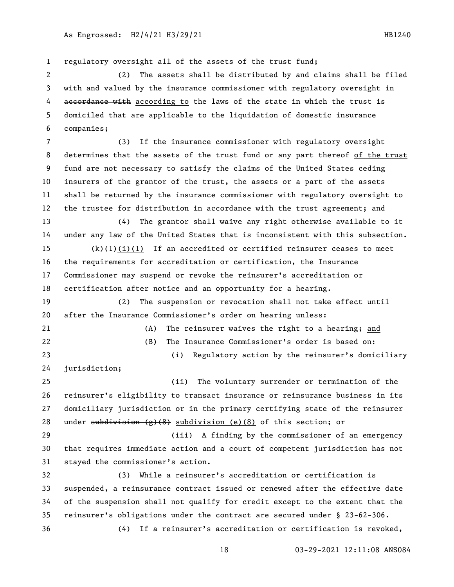regulatory oversight all of the assets of the trust fund; (2) The assets shall be distributed by and claims shall be filed 3 with and valued by the insurance commissioner with regulatory oversight in 4 accordance with according to the laws of the state in which the trust is domiciled that are applicable to the liquidation of domestic insurance companies; (3) If the insurance commissioner with regulatory oversight 8 determines that the assets of the trust fund or any part thereof of the trust fund are not necessary to satisfy the claims of the United States ceding insurers of the grantor of the trust, the assets or a part of the assets shall be returned by the insurance commissioner with regulatory oversight to the trustee for distribution in accordance with the trust agreement; and (4) The grantor shall waive any right otherwise available to it under any law of the United States that is inconsistent with this subsection.  $\left(\frac{k}{k+1}(i)(1)\right)$  If an accredited or certified reinsurer ceases to meet the requirements for accreditation or certification, the Insurance Commissioner may suspend or revoke the reinsurer's accreditation or certification after notice and an opportunity for a hearing. (2) The suspension or revocation shall not take effect until after the Insurance Commissioner's order on hearing unless: (A) The reinsurer waives the right to a hearing; and (B) The Insurance Commissioner's order is based on: (i) Regulatory action by the reinsurer's domiciliary jurisdiction; (ii) The voluntary surrender or termination of the reinsurer's eligibility to transact insurance or reinsurance business in its domiciliary jurisdiction or in the primary certifying state of the reinsurer 28 under subdivision  $(g)(8)$  subdivision (e)(8) of this section; or (iii) A finding by the commissioner of an emergency that requires immediate action and a court of competent jurisdiction has not stayed the commissioner's action. (3) While a reinsurer's accreditation or certification is suspended, a reinsurance contract issued or renewed after the effective date of the suspension shall not qualify for credit except to the extent that the reinsurer's obligations under the contract are secured under § 23-62-306. (4) If a reinsurer's accreditation or certification is revoked,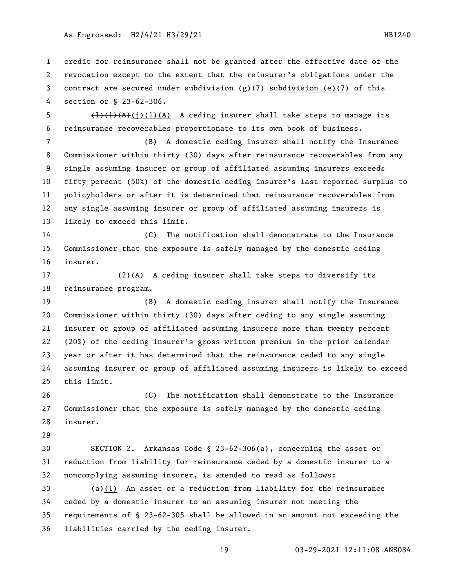credit for reinsurance shall not be granted after the effective date of the revocation except to the extent that the reinsurer's obligations under the 3 contract are secured under  $\frac{1}{\sqrt{7}}$  (7) subdivision (e)(7) of this section or § 23-62-306.

5  $\left(\frac{1}{1}(1)(1)(A)\right)$  A ceding insurer shall take steps to manage its reinsurance recoverables proportionate to its own book of business.

 (B) A domestic ceding insurer shall notify the Insurance Commissioner within thirty (30) days after reinsurance recoverables from any single assuming insurer or group of affiliated assuming insurers exceeds fifty percent (50%) of the domestic ceding insurer's last reported surplus to policyholders or after it is determined that reinsurance recoverables from any single assuming insurer or group of affiliated assuming insurers is likely to exceed this limit.

 (C) The notification shall demonstrate to the Insurance Commissioner that the exposure is safely managed by the domestic ceding insurer.

 (2)(A) A ceding insurer shall take steps to diversify its reinsurance program.

 (B) A domestic ceding insurer shall notify the Insurance Commissioner within thirty (30) days after ceding to any single assuming insurer or group of affiliated assuming insurers more than twenty percent (20%) of the ceding insurer's gross written premium in the prior calendar year or after it has determined that the reinsurance ceded to any single assuming insurer or group of affiliated assuming insurers is likely to exceed this limit.

 (C) The notification shall demonstrate to the Insurance Commissioner that the exposure is safely managed by the domestic ceding insurer.

 SECTION 2. Arkansas Code § 23-62-306(a), concerning the asset or reduction from liability for reinsurance ceded by a domestic insurer to a noncomplying assuming insurer, is amended to read as follows:

 (a)(1) An asset or a reduction from liability for the reinsurance ceded by a domestic insurer to an assuming insurer not meeting the requirements of § 23-62-305 shall be allowed in an amount not exceeding the liabilities carried by the ceding insurer.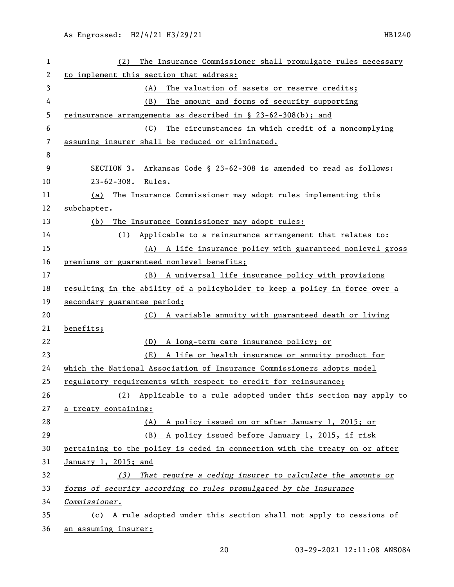| $\mathbf{1}$ | The Insurance Commissioner shall promulgate rules necessary<br>(2)          |
|--------------|-----------------------------------------------------------------------------|
| 2            | to implement this section that address:                                     |
| 3            | The valuation of assets or reserve credits;<br>(A)                          |
| 4            | The amount and forms of security supporting<br>(B)                          |
| 5            | reinsurance arrangements as described in $\S$ 23-62-308(b); and             |
| 6            | The circumstances in which credit of a noncomplying<br>(C)                  |
| 7            | assuming insurer shall be reduced or eliminated.                            |
| 8            |                                                                             |
| 9            | SECTION 3. Arkansas Code § 23-62-308 is amended to read as follows:         |
| 10           | $23 - 62 - 308$ .<br>Rules.                                                 |
| 11           | The Insurance Commissioner may adopt rules implementing this<br>(a)         |
| 12           | subchapter.                                                                 |
| 13           | The Insurance Commissioner may adopt rules:<br>(b)                          |
| 14           | (1)<br>Applicable to a reinsurance arrangement that relates to:             |
| 15           | (A) A life insurance policy with guaranteed nonlevel gross                  |
| 16           | premiums or guaranteed nonlevel benefits;                                   |
| 17           | (B) A universal life insurance policy with provisions                       |
| 18           | resulting in the ability of a policyholder to keep a policy in force over a |
| 19           | secondary guarantee period;                                                 |
| 20           | A variable annuity with guaranteed death or living<br>(C)                   |
| 21           | benefits;                                                                   |
| 22           | A long-term care insurance policy; or<br>(D)                                |
| 23           | (E)<br>A life or health insurance or annuity product for                    |
| 24           | which the National Association of Insurance Commissioners adopts model      |
| 25           | regulatory requirements with respect to credit for reinsurance;             |
| 26           | (2) Applicable to a rule adopted under this section may apply to            |
| 27           | a treaty containing:                                                        |
| 28           | A policy issued on or after January 1, 2015; or<br>(A)                      |
| 29           | A policy issued before January 1, 2015, if risk<br>(B)                      |
| 30           | pertaining to the policy is ceded in connection with the treaty on or after |
| 31           | January 1, 2015; and                                                        |
| 32           | That require a ceding insurer to calculate the amounts or<br>(3)            |
| 33           | forms of security according to rules promulgated by the Insurance           |
| 34           | Commissioner.                                                               |
| 35           | (c) A rule adopted under this section shall not apply to cessions of        |
| 36           | an assuming insurer:                                                        |